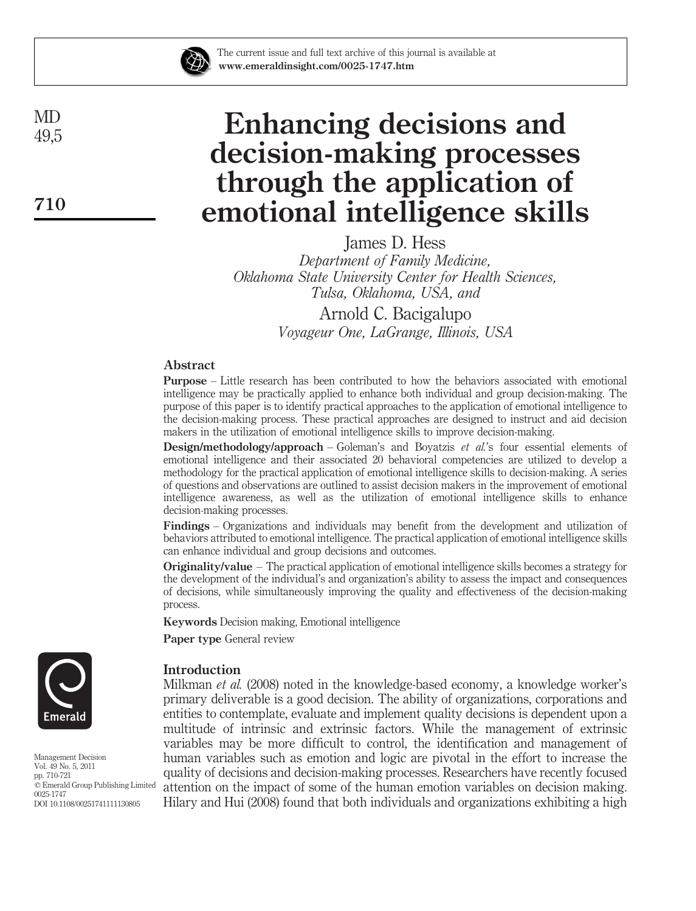

The current issue and full text archive of this journal is available at www.emeraldinsight.com/0025-1747.htm

# Enhancing decisions and decision-making processes through the application of emotional intelligence skills

James D. Hess Department of Family Medicine, Oklahoma State University Center for Health Sciences, Tulsa, Oklahoma, USA, and

> Arnold C. Bacigalupo Voyageur One, LaGrange, Illinois, USA

# Abstract

Purpose – Little research has been contributed to how the behaviors associated with emotional intelligence may be practically applied to enhance both individual and group decision-making. The purpose of this paper is to identify practical approaches to the application of emotional intelligence to the decision-making process. These practical approaches are designed to instruct and aid decision makers in the utilization of emotional intelligence skills to improve decision-making.

**Design/methodology/approach** – Goleman's and Boyatzis *et al.*'s four essential elements of emotional intelligence and their associated 20 behavioral competencies are utilized to develop a methodology for the practical application of emotional intelligence skills to decision-making. A series of questions and observations are outlined to assist decision makers in the improvement of emotional intelligence awareness, as well as the utilization of emotional intelligence skills to enhance decision-making processes.

Findings – Organizations and individuals may benefit from the development and utilization of behaviors attributed to emotional intelligence. The practical application of emotional intelligence skills can enhance individual and group decisions and outcomes.

Originality/value – The practical application of emotional intelligence skills becomes a strategy for the development of the individual's and organization's ability to assess the impact and consequences of decisions, while simultaneously improving the quality and effectiveness of the decision-making process.

Keywords Decision making, Emotional intelligence

Paper type General review



Milkman et al. (2008) noted in the knowledge-based economy, a knowledge worker's primary deliverable is a good decision. The ability of organizations, corporations and entities to contemplate, evaluate and implement quality decisions is dependent upon a multitude of intrinsic and extrinsic factors. While the management of extrinsic variables may be more difficult to control, the identification and management of human variables such as emotion and logic are pivotal in the effort to increase the quality of decisions and decision-making processes. Researchers have recently focused attention on the impact of some of the human emotion variables on decision making. Hilary and Hui (2008) found that both individuals and organizations exhibiting a high



Management Decision Vol. 49 No. 5, 2011 pp. 710-721 q Emerald Group Publishing Limited 0025-1747 DOI 10.1108/00251741111130805

710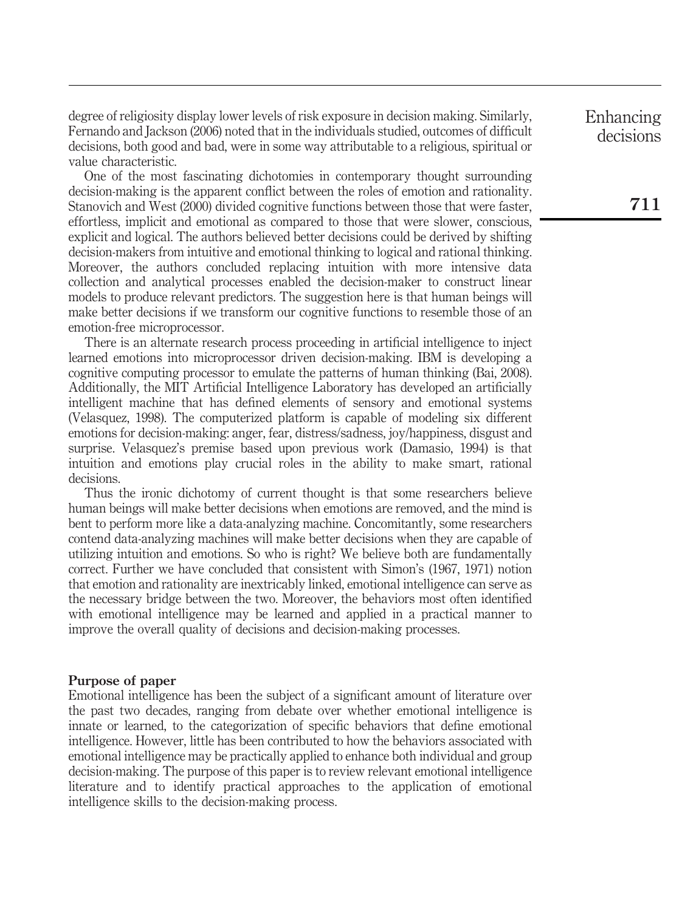degree of religiosity display lower levels of risk exposure in decision making. Similarly, Fernando and Jackson (2006) noted that in the individuals studied, outcomes of difficult decisions, both good and bad, were in some way attributable to a religious, spiritual or value characteristic.

One of the most fascinating dichotomies in contemporary thought surrounding decision-making is the apparent conflict between the roles of emotion and rationality. Stanovich and West (2000) divided cognitive functions between those that were faster, effortless, implicit and emotional as compared to those that were slower, conscious, explicit and logical. The authors believed better decisions could be derived by shifting decision-makers from intuitive and emotional thinking to logical and rational thinking. Moreover, the authors concluded replacing intuition with more intensive data collection and analytical processes enabled the decision-maker to construct linear models to produce relevant predictors. The suggestion here is that human beings will make better decisions if we transform our cognitive functions to resemble those of an emotion-free microprocessor.

There is an alternate research process proceeding in artificial intelligence to inject learned emotions into microprocessor driven decision-making. IBM is developing a cognitive computing processor to emulate the patterns of human thinking (Bai, 2008). Additionally, the MIT Artificial Intelligence Laboratory has developed an artificially intelligent machine that has defined elements of sensory and emotional systems (Velasquez, 1998). The computerized platform is capable of modeling six different emotions for decision-making: anger, fear, distress/sadness, joy/happiness, disgust and surprise. Velasquez's premise based upon previous work (Damasio, 1994) is that intuition and emotions play crucial roles in the ability to make smart, rational decisions.

Thus the ironic dichotomy of current thought is that some researchers believe human beings will make better decisions when emotions are removed, and the mind is bent to perform more like a data-analyzing machine. Concomitantly, some researchers contend data-analyzing machines will make better decisions when they are capable of utilizing intuition and emotions. So who is right? We believe both are fundamentally correct. Further we have concluded that consistent with Simon's (1967, 1971) notion that emotion and rationality are inextricably linked, emotional intelligence can serve as the necessary bridge between the two. Moreover, the behaviors most often identified with emotional intelligence may be learned and applied in a practical manner to improve the overall quality of decisions and decision-making processes.

### Purpose of paper

Emotional intelligence has been the subject of a significant amount of literature over the past two decades, ranging from debate over whether emotional intelligence is innate or learned, to the categorization of specific behaviors that define emotional intelligence. However, little has been contributed to how the behaviors associated with emotional intelligence may be practically applied to enhance both individual and group decision-making. The purpose of this paper is to review relevant emotional intelligence literature and to identify practical approaches to the application of emotional intelligence skills to the decision-making process.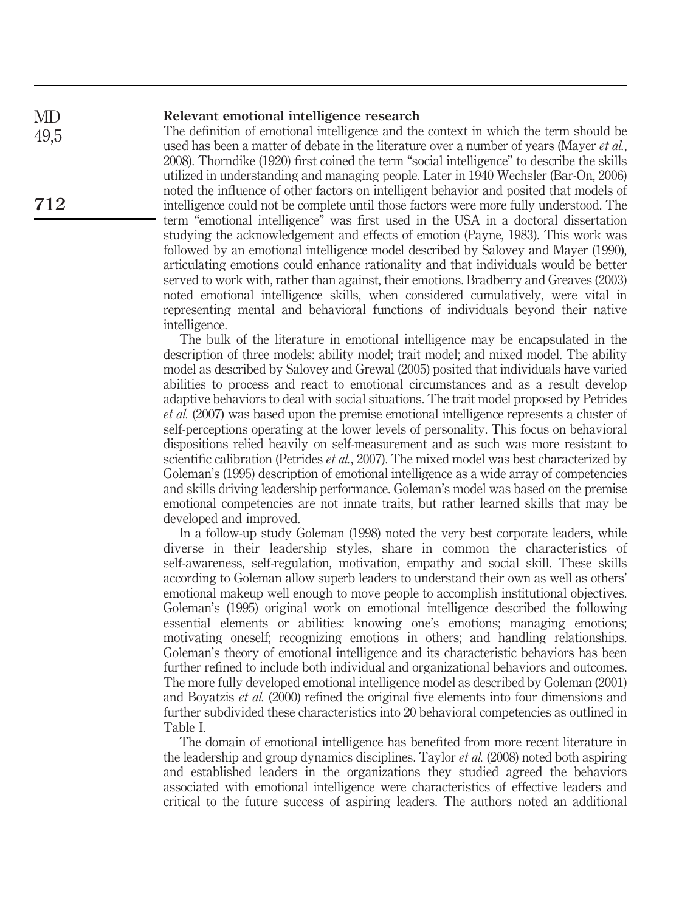#### Relevant emotional intelligence research MD

49,5

712

The definition of emotional intelligence and the context in which the term should be used has been a matter of debate in the literature over a number of years (Mayer *et al.*, 2008). Thorndike (1920) first coined the term "social intelligence" to describe the skills utilized in understanding and managing people. Later in 1940 Wechsler (Bar-On, 2006) noted the influence of other factors on intelligent behavior and posited that models of intelligence could not be complete until those factors were more fully understood. The term "emotional intelligence" was first used in the USA in a doctoral dissertation studying the acknowledgement and effects of emotion (Payne, 1983). This work was followed by an emotional intelligence model described by Salovey and Mayer (1990), articulating emotions could enhance rationality and that individuals would be better served to work with, rather than against, their emotions. Bradberry and Greaves (2003) noted emotional intelligence skills, when considered cumulatively, were vital in representing mental and behavioral functions of individuals beyond their native intelligence.

The bulk of the literature in emotional intelligence may be encapsulated in the description of three models: ability model; trait model; and mixed model. The ability model as described by Salovey and Grewal (2005) posited that individuals have varied abilities to process and react to emotional circumstances and as a result develop adaptive behaviors to deal with social situations. The trait model proposed by Petrides et al. (2007) was based upon the premise emotional intelligence represents a cluster of self-perceptions operating at the lower levels of personality. This focus on behavioral dispositions relied heavily on self-measurement and as such was more resistant to scientific calibration (Petrides *et al.*, 2007). The mixed model was best characterized by Goleman's (1995) description of emotional intelligence as a wide array of competencies and skills driving leadership performance. Goleman's model was based on the premise emotional competencies are not innate traits, but rather learned skills that may be developed and improved.

In a follow-up study Goleman (1998) noted the very best corporate leaders, while diverse in their leadership styles, share in common the characteristics of self-awareness, self-regulation, motivation, empathy and social skill. These skills according to Goleman allow superb leaders to understand their own as well as others' emotional makeup well enough to move people to accomplish institutional objectives. Goleman's (1995) original work on emotional intelligence described the following essential elements or abilities: knowing one's emotions; managing emotions; motivating oneself; recognizing emotions in others; and handling relationships. Goleman's theory of emotional intelligence and its characteristic behaviors has been further refined to include both individual and organizational behaviors and outcomes. The more fully developed emotional intelligence model as described by Goleman (2001) and Boyatzis et al. (2000) refined the original five elements into four dimensions and further subdivided these characteristics into 20 behavioral competencies as outlined in Table I.

The domain of emotional intelligence has benefited from more recent literature in the leadership and group dynamics disciplines. Taylor et al. (2008) noted both aspiring and established leaders in the organizations they studied agreed the behaviors associated with emotional intelligence were characteristics of effective leaders and critical to the future success of aspiring leaders. The authors noted an additional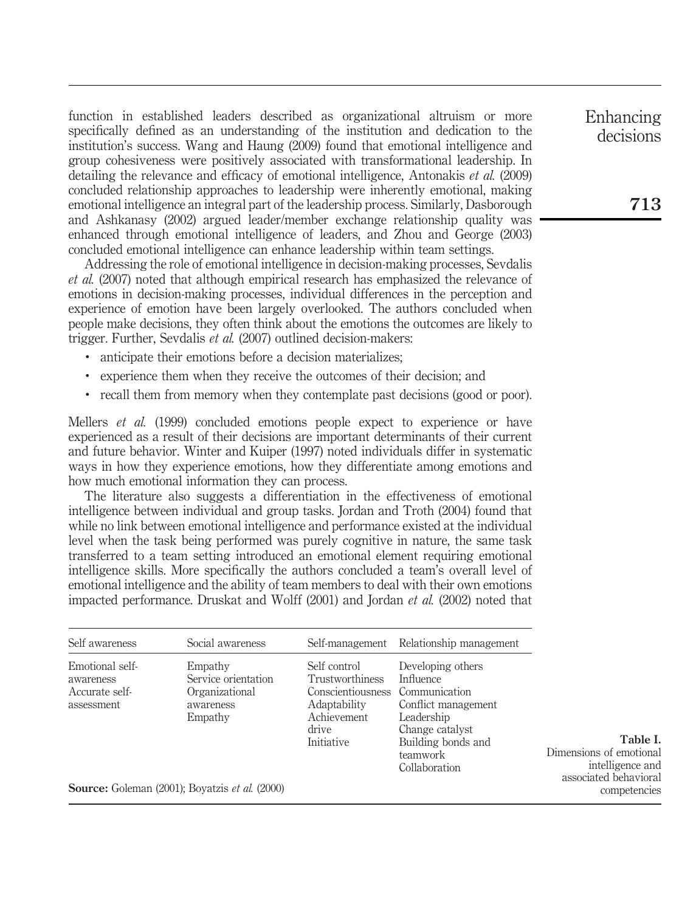function in established leaders described as organizational altruism or more specifically defined as an understanding of the institution and dedication to the institution's success. Wang and Haung (2009) found that emotional intelligence and group cohesiveness were positively associated with transformational leadership. In detailing the relevance and efficacy of emotional intelligence, Antonakis et al. (2009) concluded relationship approaches to leadership were inherently emotional, making emotional intelligence an integral part of the leadership process. Similarly, Dasborough and Ashkanasy (2002) argued leader/member exchange relationship quality was enhanced through emotional intelligence of leaders, and Zhou and George (2003) concluded emotional intelligence can enhance leadership within team settings.

Addressing the role of emotional intelligence in decision-making processes, Sevdalis et al. (2007) noted that although empirical research has emphasized the relevance of emotions in decision-making processes, individual differences in the perception and experience of emotion have been largely overlooked. The authors concluded when people make decisions, they often think about the emotions the outcomes are likely to trigger. Further, Sevdalis et al. (2007) outlined decision-makers:

- . anticipate their emotions before a decision materializes;
- . experience them when they receive the outcomes of their decision; and
- . recall them from memory when they contemplate past decisions (good or poor).

Mellers *et al.* (1999) concluded emotions people expect to experience or have experienced as a result of their decisions are important determinants of their current and future behavior. Winter and Kuiper (1997) noted individuals differ in systematic ways in how they experience emotions, how they differentiate among emotions and how much emotional information they can process.

The literature also suggests a differentiation in the effectiveness of emotional intelligence between individual and group tasks. Jordan and Troth (2004) found that while no link between emotional intelligence and performance existed at the individual level when the task being performed was purely cognitive in nature, the same task transferred to a team setting introduced an emotional element requiring emotional intelligence skills. More specifically the authors concluded a team's overall level of emotional intelligence and the ability of team members to deal with their own emotions impacted performance. Druskat and Wolff (2001) and Jordan et al. (2002) noted that

| Self awareness                                               | Social awareness                                                         | Self-management                                                                                            | Relationship management                                                                                                                                    |  |
|--------------------------------------------------------------|--------------------------------------------------------------------------|------------------------------------------------------------------------------------------------------------|------------------------------------------------------------------------------------------------------------------------------------------------------------|--|
| Emotional self-<br>awareness<br>Accurate self-<br>assessment | Empathy<br>Service orientation<br>Organizational<br>awareness<br>Empathy | Self control<br>Trustworthiness<br>Conscientiousness<br>Adaptability<br>Achievement<br>drive<br>Initiative | Developing others<br>Influence<br>Communication<br>Conflict management<br>Leadership<br>Change catalyst<br>Building bonds and<br>teamwork<br>Collaboration |  |
| <b>Source:</b> Goleman (2001); Boyatzis et al. (2000)        |                                                                          |                                                                                                            |                                                                                                                                                            |  |

Table I. Dimensions of emotional intelligence and associated behavioral competencies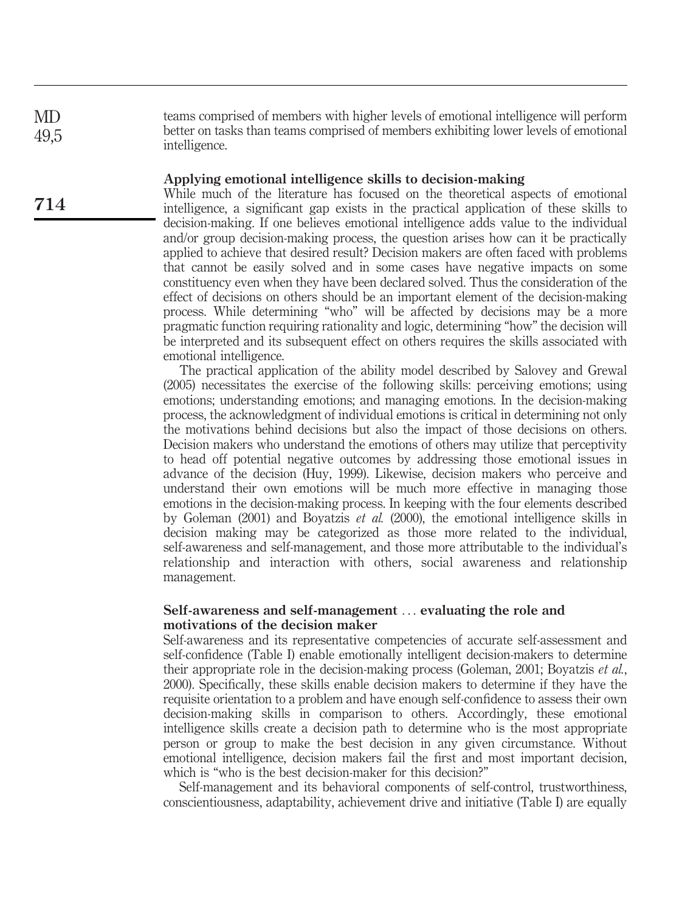teams comprised of members with higher levels of emotional intelligence will perform better on tasks than teams comprised of members exhibiting lower levels of emotional intelligence. MD 49,5

714

# Applying emotional intelligence skills to decision-making

While much of the literature has focused on the theoretical aspects of emotional intelligence, a significant gap exists in the practical application of these skills to decision-making. If one believes emotional intelligence adds value to the individual and/or group decision-making process, the question arises how can it be practically applied to achieve that desired result? Decision makers are often faced with problems that cannot be easily solved and in some cases have negative impacts on some constituency even when they have been declared solved. Thus the consideration of the effect of decisions on others should be an important element of the decision-making process. While determining "who" will be affected by decisions may be a more pragmatic function requiring rationality and logic, determining "how" the decision will be interpreted and its subsequent effect on others requires the skills associated with emotional intelligence.

The practical application of the ability model described by Salovey and Grewal (2005) necessitates the exercise of the following skills: perceiving emotions; using emotions; understanding emotions; and managing emotions. In the decision-making process, the acknowledgment of individual emotions is critical in determining not only the motivations behind decisions but also the impact of those decisions on others. Decision makers who understand the emotions of others may utilize that perceptivity to head off potential negative outcomes by addressing those emotional issues in advance of the decision (Huy, 1999). Likewise, decision makers who perceive and understand their own emotions will be much more effective in managing those emotions in the decision-making process. In keeping with the four elements described by Goleman (2001) and Boyatzis et al. (2000), the emotional intelligence skills in decision making may be categorized as those more related to the individual, self-awareness and self-management, and those more attributable to the individual's relationship and interaction with others, social awareness and relationship management.

## Self-awareness and self-management ... evaluating the role and motivations of the decision maker

Self-awareness and its representative competencies of accurate self-assessment and self-confidence (Table I) enable emotionally intelligent decision-makers to determine their appropriate role in the decision-making process (Goleman, 2001; Boyatzis *et al.*, 2000). Specifically, these skills enable decision makers to determine if they have the requisite orientation to a problem and have enough self-confidence to assess their own decision-making skills in comparison to others. Accordingly, these emotional intelligence skills create a decision path to determine who is the most appropriate person or group to make the best decision in any given circumstance. Without emotional intelligence, decision makers fail the first and most important decision, which is "who is the best decision-maker for this decision?"

Self-management and its behavioral components of self-control, trustworthiness, conscientiousness, adaptability, achievement drive and initiative (Table I) are equally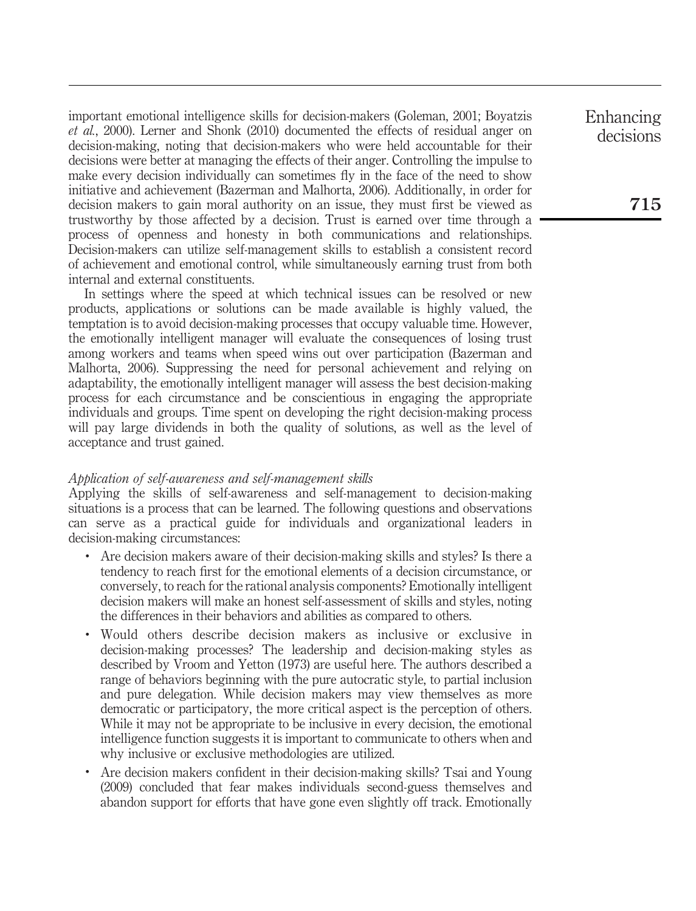important emotional intelligence skills for decision-makers (Goleman, 2001; Boyatzis et al., 2000). Lerner and Shonk (2010) documented the effects of residual anger on decision-making, noting that decision-makers who were held accountable for their decisions were better at managing the effects of their anger. Controlling the impulse to make every decision individually can sometimes fly in the face of the need to show initiative and achievement (Bazerman and Malhorta, 2006). Additionally, in order for decision makers to gain moral authority on an issue, they must first be viewed as trustworthy by those affected by a decision. Trust is earned over time through a process of openness and honesty in both communications and relationships. Decision-makers can utilize self-management skills to establish a consistent record of achievement and emotional control, while simultaneously earning trust from both internal and external constituents.

In settings where the speed at which technical issues can be resolved or new products, applications or solutions can be made available is highly valued, the temptation is to avoid decision-making processes that occupy valuable time. However, the emotionally intelligent manager will evaluate the consequences of losing trust among workers and teams when speed wins out over participation (Bazerman and Malhorta, 2006). Suppressing the need for personal achievement and relying on adaptability, the emotionally intelligent manager will assess the best decision-making process for each circumstance and be conscientious in engaging the appropriate individuals and groups. Time spent on developing the right decision-making process will pay large dividends in both the quality of solutions, as well as the level of acceptance and trust gained.

# Application of self-awareness and self-management skills

Applying the skills of self-awareness and self-management to decision-making situations is a process that can be learned. The following questions and observations can serve as a practical guide for individuals and organizational leaders in decision-making circumstances:

- . Are decision makers aware of their decision-making skills and styles? Is there a tendency to reach first for the emotional elements of a decision circumstance, or conversely, to reach for the rational analysis components? Emotionally intelligent decision makers will make an honest self-assessment of skills and styles, noting the differences in their behaviors and abilities as compared to others.
- . Would others describe decision makers as inclusive or exclusive in decision-making processes? The leadership and decision-making styles as described by Vroom and Yetton (1973) are useful here. The authors described a range of behaviors beginning with the pure autocratic style, to partial inclusion and pure delegation. While decision makers may view themselves as more democratic or participatory, the more critical aspect is the perception of others. While it may not be appropriate to be inclusive in every decision, the emotional intelligence function suggests it is important to communicate to others when and why inclusive or exclusive methodologies are utilized.
- . Are decision makers confident in their decision-making skills? Tsai and Young (2009) concluded that fear makes individuals second-guess themselves and abandon support for efforts that have gone even slightly off track. Emotionally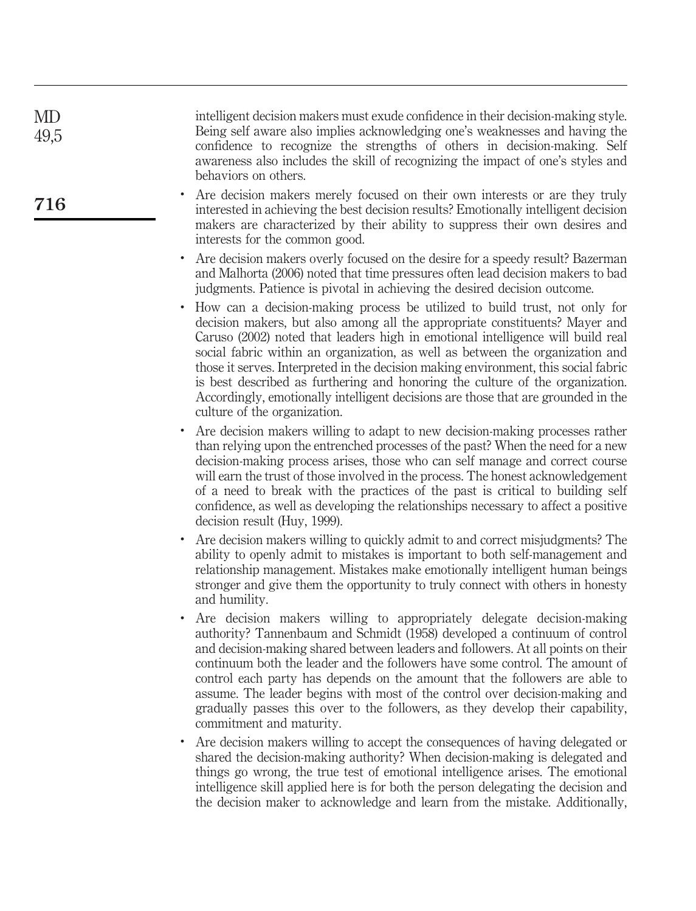| <b>MD</b><br>49,5 | intelligent decision makers must exude confidence in their decision-making style.<br>Being self aware also implies acknowledging one's weaknesses and having the<br>confidence to recognize the strengths of others in decision-making. Self<br>awareness also includes the skill of recognizing the impact of one's styles and<br>behaviors on others. |
|-------------------|---------------------------------------------------------------------------------------------------------------------------------------------------------------------------------------------------------------------------------------------------------------------------------------------------------------------------------------------------------|
|                   |                                                                                                                                                                                                                                                                                                                                                         |

716

- . Are decision makers merely focused on their own interests or are they truly interested in achieving the best decision results? Emotionally intelligent decision makers are characterized by their ability to suppress their own desires and interests for the common good.
- . Are decision makers overly focused on the desire for a speedy result? Bazerman and Malhorta (2006) noted that time pressures often lead decision makers to bad judgments. Patience is pivotal in achieving the desired decision outcome.
- . How can a decision-making process be utilized to build trust, not only for decision makers, but also among all the appropriate constituents? Mayer and Caruso (2002) noted that leaders high in emotional intelligence will build real social fabric within an organization, as well as between the organization and those it serves. Interpreted in the decision making environment, this social fabric is best described as furthering and honoring the culture of the organization. Accordingly, emotionally intelligent decisions are those that are grounded in the culture of the organization.
- . Are decision makers willing to adapt to new decision-making processes rather than relying upon the entrenched processes of the past? When the need for a new decision-making process arises, those who can self manage and correct course will earn the trust of those involved in the process. The honest acknowledgement of a need to break with the practices of the past is critical to building self confidence, as well as developing the relationships necessary to affect a positive decision result (Huy, 1999).
- . Are decision makers willing to quickly admit to and correct misjudgments? The ability to openly admit to mistakes is important to both self-management and relationship management. Mistakes make emotionally intelligent human beings stronger and give them the opportunity to truly connect with others in honesty and humility.
- . Are decision makers willing to appropriately delegate decision-making authority? Tannenbaum and Schmidt (1958) developed a continuum of control and decision-making shared between leaders and followers. At all points on their continuum both the leader and the followers have some control. The amount of control each party has depends on the amount that the followers are able to assume. The leader begins with most of the control over decision-making and gradually passes this over to the followers, as they develop their capability, commitment and maturity.
- . Are decision makers willing to accept the consequences of having delegated or shared the decision-making authority? When decision-making is delegated and things go wrong, the true test of emotional intelligence arises. The emotional intelligence skill applied here is for both the person delegating the decision and the decision maker to acknowledge and learn from the mistake. Additionally,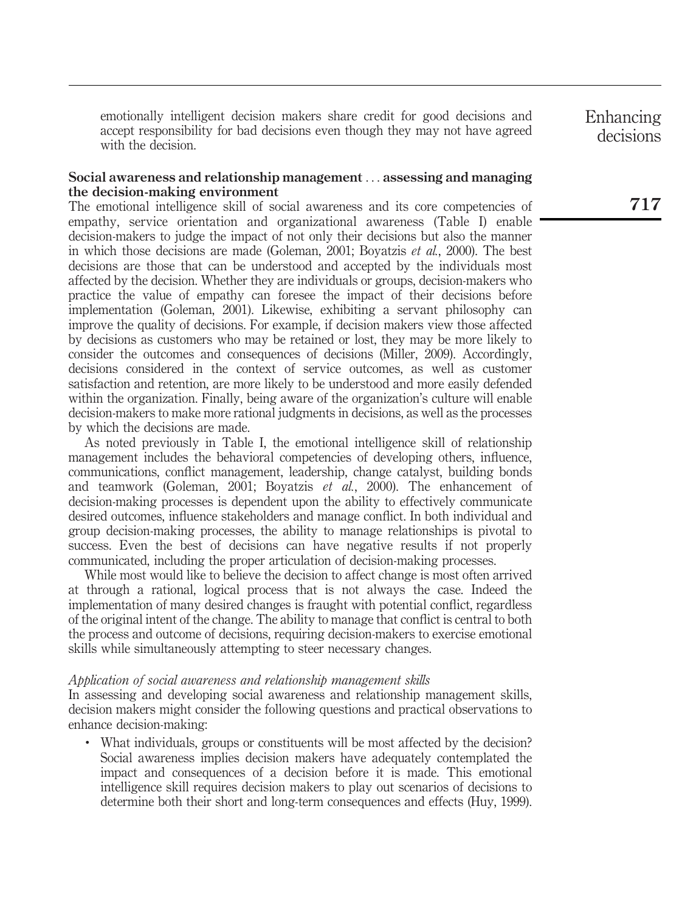emotionally intelligent decision makers share credit for good decisions and accept responsibility for bad decisions even though they may not have agreed with the decision

# Social awareness and relationship management ... assessing and managing the decision-making environment

The emotional intelligence skill of social awareness and its core competencies of empathy, service orientation and organizational awareness (Table I) enable decision-makers to judge the impact of not only their decisions but also the manner in which those decisions are made (Goleman, 2001; Boyatzis et al., 2000). The best decisions are those that can be understood and accepted by the individuals most affected by the decision. Whether they are individuals or groups, decision-makers who practice the value of empathy can foresee the impact of their decisions before implementation (Goleman, 2001). Likewise, exhibiting a servant philosophy can improve the quality of decisions. For example, if decision makers view those affected by decisions as customers who may be retained or lost, they may be more likely to consider the outcomes and consequences of decisions (Miller, 2009). Accordingly, decisions considered in the context of service outcomes, as well as customer satisfaction and retention, are more likely to be understood and more easily defended within the organization. Finally, being aware of the organization's culture will enable decision-makers to make more rational judgments in decisions, as well as the processes by which the decisions are made.

As noted previously in Table I, the emotional intelligence skill of relationship management includes the behavioral competencies of developing others, influence, communications, conflict management, leadership, change catalyst, building bonds and teamwork (Goleman, 2001; Boyatzis et al., 2000). The enhancement of decision-making processes is dependent upon the ability to effectively communicate desired outcomes, influence stakeholders and manage conflict. In both individual and group decision-making processes, the ability to manage relationships is pivotal to success. Even the best of decisions can have negative results if not properly communicated, including the proper articulation of decision-making processes.

While most would like to believe the decision to affect change is most often arrived at through a rational, logical process that is not always the case. Indeed the implementation of many desired changes is fraught with potential conflict, regardless of the original intent of the change. The ability to manage that conflict is central to both the process and outcome of decisions, requiring decision-makers to exercise emotional skills while simultaneously attempting to steer necessary changes.

# Application of social awareness and relationship management skills

In assessing and developing social awareness and relationship management skills, decision makers might consider the following questions and practical observations to enhance decision-making:

. What individuals, groups or constituents will be most affected by the decision? Social awareness implies decision makers have adequately contemplated the impact and consequences of a decision before it is made. This emotional intelligence skill requires decision makers to play out scenarios of decisions to determine both their short and long-term consequences and effects (Huy, 1999). Enhancing decisions

717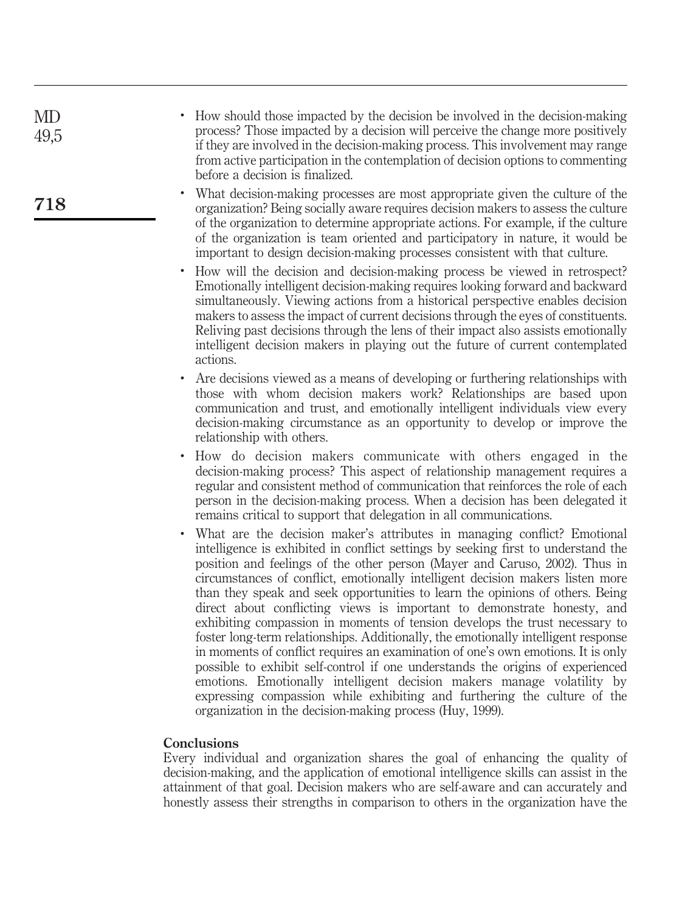| MD<br>49,5 | • How should those impacted by the decision be involved in the decision-making<br>process? Those impacted by a decision will perceive the change more positively<br>if they are involved in the decision-making process. This involvement may range<br>from active participation in the contemplation of decision options to commenting<br>before a decision is finalized. |
|------------|----------------------------------------------------------------------------------------------------------------------------------------------------------------------------------------------------------------------------------------------------------------------------------------------------------------------------------------------------------------------------|
|            |                                                                                                                                                                                                                                                                                                                                                                            |

. What decision-making processes are most appropriate given the culture of the organization? Being socially aware requires decision makers to assess the culture of the organization to determine appropriate actions. For example, if the culture of the organization is team oriented and participatory in nature, it would be important to design decision-making processes consistent with that culture.

. How will the decision and decision-making process be viewed in retrospect? Emotionally intelligent decision-making requires looking forward and backward simultaneously. Viewing actions from a historical perspective enables decision makers to assess the impact of current decisions through the eyes of constituents. Reliving past decisions through the lens of their impact also assists emotionally intelligent decision makers in playing out the future of current contemplated actions.

. Are decisions viewed as a means of developing or furthering relationships with those with whom decision makers work? Relationships are based upon communication and trust, and emotionally intelligent individuals view every decision-making circumstance as an opportunity to develop or improve the relationship with others.

. How do decision makers communicate with others engaged in the decision-making process? This aspect of relationship management requires a regular and consistent method of communication that reinforces the role of each person in the decision-making process. When a decision has been delegated it remains critical to support that delegation in all communications.

. What are the decision maker's attributes in managing conflict? Emotional intelligence is exhibited in conflict settings by seeking first to understand the position and feelings of the other person (Mayer and Caruso, 2002). Thus in circumstances of conflict, emotionally intelligent decision makers listen more than they speak and seek opportunities to learn the opinions of others. Being direct about conflicting views is important to demonstrate honesty, and exhibiting compassion in moments of tension develops the trust necessary to foster long-term relationships. Additionally, the emotionally intelligent response in moments of conflict requires an examination of one's own emotions. It is only possible to exhibit self-control if one understands the origins of experienced emotions. Emotionally intelligent decision makers manage volatility by expressing compassion while exhibiting and furthering the culture of the organization in the decision-making process (Huy, 1999).

# Conclusions

718

Every individual and organization shares the goal of enhancing the quality of decision-making, and the application of emotional intelligence skills can assist in the attainment of that goal. Decision makers who are self-aware and can accurately and honestly assess their strengths in comparison to others in the organization have the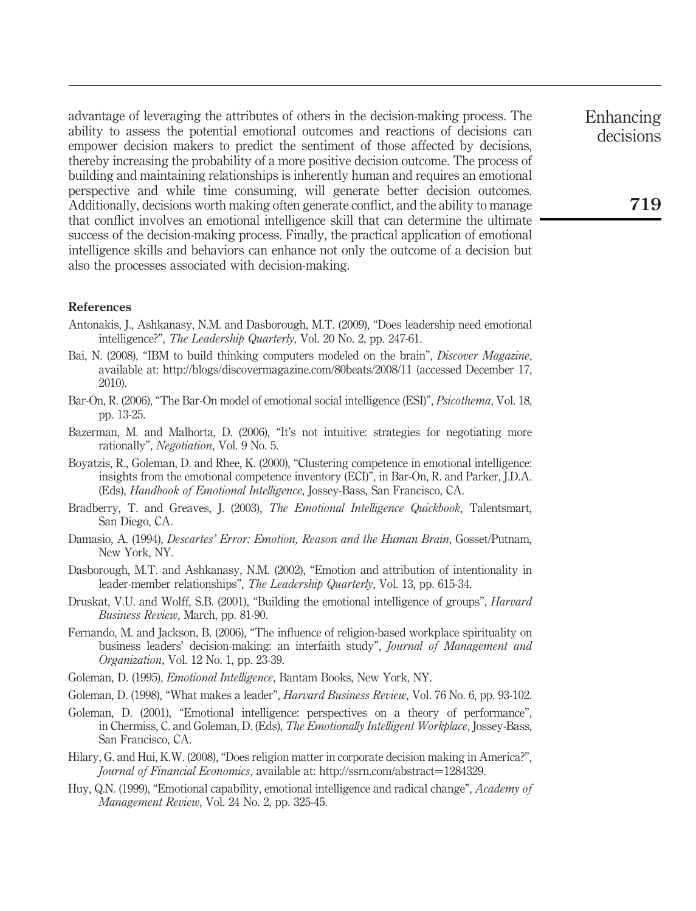advantage of leveraging the attributes of others in the decision-making process. The ability to assess the potential emotional outcomes and reactions of decisions can empower decision makers to predict the sentiment of those affected by decisions, thereby increasing the probability of a more positive decision outcome. The process of building and maintaining relationships is inherently human and requires an emotional perspective and while time consuming, will generate better decision outcomes. Additionally, decisions worth making often generate conflict, and the ability to manage that conflict involves an emotional intelligence skill that can determine the ultimate success of the decision-making process. Finally, the practical application of emotional intelligence skills and behaviors can enhance not only the outcome of a decision but also the processes associated with decision-making.

# References

- Antonakis, J., Ashkanasy, N.M. and Dasborough, M.T. (2009), "Does leadership need emotional intelligence?", The Leadership Quarterly, Vol. 20 No. 2, pp. 247-61.
- Bai, N. (2008), "IBM to build thinking computers modeled on the brain", *Discover Magazine*, available at: http://blogs/discovermagazine.com/80beats/2008/11 (accessed December 17, 2010).
- Bar-On, R. (2006), "The Bar-On model of emotional social intelligence (ESI)", Psicothema, Vol. 18, pp. 13-25.
- Bazerman, M. and Malhorta, D. (2006), "It's not intuitive: strategies for negotiating more rationally", Negotiation, Vol. 9 No. 5.
- Boyatzis, R., Goleman, D. and Rhee, K. (2000), "Clustering competence in emotional intelligence: insights from the emotional competence inventory (ECI)", in Bar-On, R. and Parker, J.D.A. (Eds), Handbook of Emotional Intelligence, Jossey-Bass, San Francisco, CA.
- Bradberry, T. and Greaves, J. (2003), The Emotional Intelligence Quickbook, Talentsmart, San Diego, CA.
- Damasio, A. (1994), Descartes' Error: Emotion, Reason and the Human Brain, Gosset/Putnam, New York, NY.
- Dasborough, M.T. and Ashkanasy, N.M. (2002), "Emotion and attribution of intentionality in leader-member relationships", The Leadership Quarterly, Vol. 13, pp. 615-34.
- Druskat, V.U. and Wolff, S.B. (2001), "Building the emotional intelligence of groups", Harvard Business Review, March, pp. 81-90.
- Fernando, M. and Jackson, B. (2006), "The influence of religion-based workplace spirituality on business leaders' decision-making: an interfaith study", Journal of Management and Organization, Vol. 12 No. 1, pp. 23-39.
- Goleman, D. (1995), Emotional Intelligence, Bantam Books, New York, NY.
- Goleman, D. (1998), "What makes a leader", Harvard Business Review, Vol. 76 No. 6, pp. 93-102.
- Goleman, D. (2001), "Emotional intelligence: perspectives on a theory of performance", in Chermiss, C. and Goleman, D. (Eds), The Emotionally Intelligent Workplace, Jossey-Bass, San Francisco, CA.
- Hilary, G. and Hui, K.W. (2008), "Does religion matter in corporate decision making in America?", Journal of Financial Economics, available at: http://ssrn.com/abstract=1284329.
- Huy, Q.N. (1999), "Emotional capability, emotional intelligence and radical change", Academy of Management Review, Vol. 24 No. 2, pp. 325-45.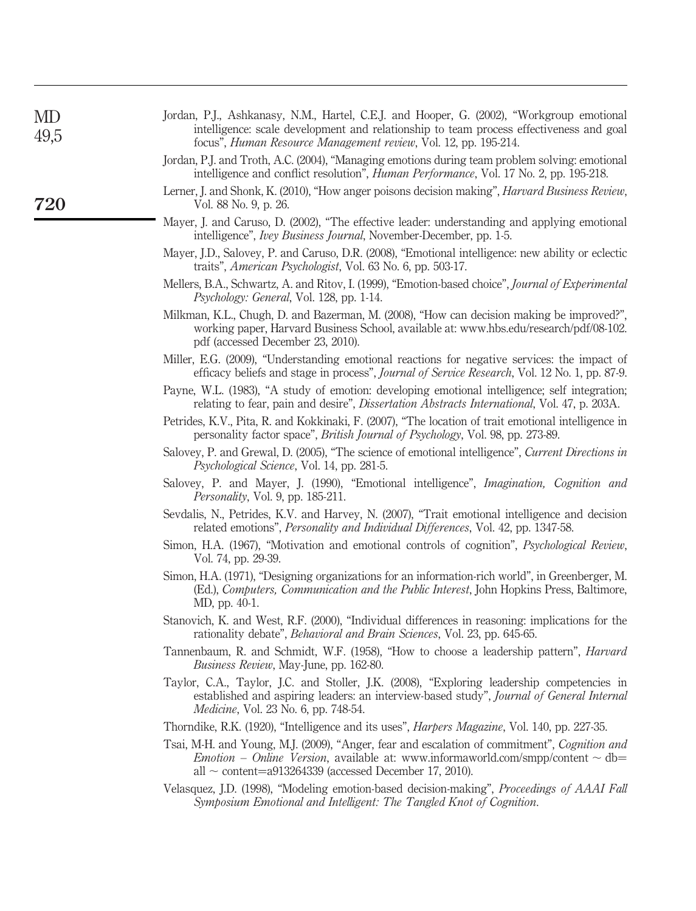| MD<br>49,5 | Jordan, P.J., Ashkanasy, N.M., Hartel, C.E.J. and Hooper, G. (2002), "Workgroup emotional<br>intelligence: scale development and relationship to team process effectiveness and goal<br>focus", Human Resource Management review, Vol. 12, pp. 195-214.     |
|------------|-------------------------------------------------------------------------------------------------------------------------------------------------------------------------------------------------------------------------------------------------------------|
|            | Jordan, P.J. and Troth, A.C. (2004), "Managing emotions during team problem solving: emotional<br>intelligence and conflict resolution", <i>Human Performance</i> , Vol. 17 No. 2, pp. 195-218.                                                             |
| 720        | Lerner, J. and Shonk, K. (2010), "How anger poisons decision making", <i>Harvard Business Review</i> ,<br>Vol. 88 No. 9, p. 26.                                                                                                                             |
|            | Mayer, J. and Caruso, D. (2002), "The effective leader: understanding and applying emotional<br>intelligence", Ivey Business Journal, November-December, pp. 1-5.                                                                                           |
|            | Mayer, J.D., Salovey, P. and Caruso, D.R. (2008), "Emotional intelligence: new ability or eclectic<br>traits", American Psychologist, Vol. 63 No. 6, pp. 503-17.                                                                                            |
|            | Mellers, B.A., Schwartz, A. and Ritov, I. (1999), "Emotion-based choice", Journal of Experimental<br>Psychology: General, Vol. 128, pp. 1-14.                                                                                                               |
|            | Milkman, K.L., Chugh, D. and Bazerman, M. (2008), "How can decision making be improved?",<br>working paper, Harvard Business School, available at: www.hbs.edu/research/pdf/08-102.<br>pdf (accessed December 23, 2010).                                    |
|            | Miller, E.G. (2009), "Understanding emotional reactions for negative services: the impact of<br>efficacy beliefs and stage in process", Journal of Service Research, Vol. 12 No. 1, pp. 87-9.                                                               |
|            | Payne, W.L. (1983), "A study of emotion: developing emotional intelligence; self integration;<br>relating to fear, pain and desire", <i>Dissertation Abstracts International</i> , Vol. 47, p. 203A.                                                        |
|            | Petrides, K.V., Pita, R. and Kokkinaki, F. (2007), "The location of trait emotional intelligence in<br>personality factor space", British Journal of Psychology, Vol. 98, pp. 273-89.                                                                       |
|            | Salovey, P. and Grewal, D. (2005), "The science of emotional intelligence", Current Directions in<br><i>Psychological Science, Vol. 14, pp. 281-5.</i>                                                                                                      |
|            | Salovey, P. and Mayer, J. (1990), "Emotional intelligence", <i>Imagination</i> , <i>Cognition and</i><br><i>Personality</i> , Vol. 9, pp. 185-211.                                                                                                          |
|            | Sevdalis, N., Petrides, K.V. and Harvey, N. (2007), "Trait emotional intelligence and decision<br>related emotions", Personality and Individual Differences, Vol. 42, pp. 1347-58.                                                                          |
|            | Simon, H.A. (1967), "Motivation and emotional controls of cognition", <i>Psychological Review</i> ,<br>Vol. 74, pp. 29-39.                                                                                                                                  |
|            | Simon, H.A. (1971), "Designing organizations for an information-rich world", in Greenberger, M.<br>(Ed.), Computers, Communication and the Public Interest, John Hopkins Press, Baltimore,<br>MD, pp. 40-1.                                                 |
|            | Stanovich, K. and West, R.F. (2000), "Individual differences in reasoning: implications for the<br>rationality debate", Behavioral and Brain Sciences, Vol. 23, pp. 645-65.                                                                                 |
|            | Tannenbaum, R. and Schmidt, W.F. (1958), "How to choose a leadership pattern", <i>Harvard</i><br><i>Business Review</i> , May-June, pp. 162-80.                                                                                                             |
|            | Taylor, C.A., Taylor, J.C. and Stoller, J.K. (2008), "Exploring leadership competencies in<br>established and aspiring leaders: an interview-based study", Journal of General Internal<br>Medicine, Vol. 23 No. 6, pp. 748-54.                              |
|            | Thorndike, R.K. (1920), "Intelligence and its uses", Harpers Magazine, Vol. 140, pp. 227-35.                                                                                                                                                                |
|            | Tsai, M-H. and Young, M.J. (2009), "Anger, fear and escalation of commitment", Cognition and<br><i>Emotion – Online Version</i> , available at: www.informaworld.com/smpp/content $\sim$ db=<br>all $\sim$ content=a913264339 (accessed December 17, 2010). |
|            | Velasquez, J.D. (1998), "Modeling emotion-based decision-making", Proceedings of AAAI Fall<br>Symposium Emotional and Intelligent: The Tangled Knot of Cognition.                                                                                           |
|            |                                                                                                                                                                                                                                                             |